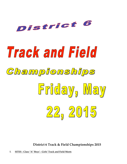

# Track and Field



# Friday, May 22, 2015

**District 6 Track & Field Championships 2015**

**I. SITES - Class "A" Boys' - Girls' Track and Field Meets**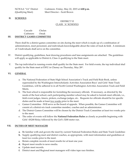### **II. SCHOOLS**

### DISTRICT VI CLASS 'A' SCHOOLS

### Cascade Chelan Cashmere Omak **III. DISTRICT GAMES COMMITTEE**

There shall be a district games committee on site during the meet which is made up of a combination of administrators, meet personnel, and individuals knowledgeable about the rules of track & field. A minimum of 3 individuals shall serve on the committee.

- IV. District qualifying, guidelines, heat drawing procedures and lane assignments are attached. The guidelines will apply as applicable to District 6, Class A qualifying to the State meet.
- V. The top individual in running events shall qualify for the State meet. For field events, the top individual shall qualify for the State meet at EWU in Cheney on Thursday, May 28<sup>th</sup>.

### **VI. GENERAL**

- a. The National Federation of State High School Association's Track and Field Rule Book, unless superseded by the Washington Interscholastic Activities Association Boys' and Girls' State Track Guidelines, will be adhered to in all North Central Washington Activities Association Track and Field Meets.
- b. The host school is responsible for furnishing the necessary officials. If necessary, as directed by the needs of the host school, each participating member school may be asked to furnish meet officials, i.e., field event judges, timers, pickers, exchange judges, etc.. Requests for officials should be for specific duties and be made at least two weeks prior to the meet.
- c. Games Committee Will serve as the board of appeals. When possible, the Games Committee will consist of a district-six track committee member, coaches and an administrator.
- d. The District Games Committee will be chosen by the District Track Committee at least two weeks prior to the meet.
- e. The order of events will follow the **National Federation Rules** as closely as possible beginning with Girls' 4X200 Relay followed by the Girl's 3200 meter run.

### **VII. DUTIES OF MEET MANAGER**

- a. Be familiar with and govern the meet by current National Federation Rules and State Track Guidelines
- **b.** Supply qualifying meet and district coaches, as appropriate, with meet information and guidelines at least two weeks prior to the meet.
- **c.** Retain complete records of meet results for at least one year.
- **d.** Report meet results to news media.
- **e.** Update meet records.
- **f.** District meet and Regional meet managers will video tape race finishes.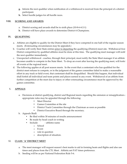- **g.** Inform the next qualifier when notification of a withdrawal is received from the principal of a district participant.
- **h.** Select hurdle judges for all hurdle races.

### **VIII. SCORING AND AWARDS**

- a. District scoring and awards shall be to sixth place (10-8-6-4-2-1)
- **b.** District will have place awards to determine District 6 Champions.

### **IX. QUALIFYING**

- a. Athletes are eligible to qualify for the District Meet if they have competed in one half of the regular season meets. (Extenuating circumstances may be appealed.)
- b. Coaches will verify their State entries prior to departing the qualifying (District) meet site. Withdrawal from District competition by qualified athletes must be done at this time. The qualifying meet manager will notif the next qualifier immediately.
- c. Unexpected withdrawal coaches, through their principal, must notify the State Meet manager if an athlete becomes unable to compete in the State Meet. To drop an event after leaving the qualifying meet, will forfeit all events at the regional meet.
- d. The following applies at all post season meets. In the event that a contestant who has qualified for the district meet refuses to compete, or in the judgment of the games committee failed to make a reasonable effort in any track or field event, that contestant shall be disqualified. Should this happen, that individual shall forfeit all individual and team points and places earned in any event. Withdrawal of an athlete from further competition at the meet due to injury or other extenuating circumstance must be approved by the games committee.

# X. **APPEALS**

- a. Decisions at district qualifying, district and Regional meets regarding the omission or misapplication of appropriate rules may be appealed through the following:
	- Meet Director
	- Games Committee at the site
	- District Track Committee through the Chairman as soon as possible
	- District Executive Board through the secretary.
- b. Appeals Shall:
	- Be filed within 30 minutes of results announcement
	- Be made by head coach in writing
	- Include: athletes name
		- o School
		- o Event
		- o rule in question
		- o description of situation.

# XI. **CLASS 'A' DISTRICT MEET**

- a. The meet manager will request season's best marks to aid in forming heats and flights and also use times and places from the CTL Meet. Athletic.net FAT times preference.
- b. Seeding will be as per National Federation Rule 5-6.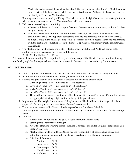- Meet Entries due into Athletic.net by Tuesday @ 10:00am or sooner after the CTL Meet, then mee manger will get the heat sheets back to coaches by Wednesday 12:00 pm. Final coaches changes are due by 6:00 pm that Wednesday.
- c. Running events -- seeding and qualifying: Heat will be run with eight(8) entries. the next eight times will be in another heat and so on. The fastest heat will be last to run.
- d. Field events -- seeding and qualifying:
	- Athletes with lesser marks will compete first with the competition culminating with the Caribou League Champion.
	- In events that call for preliminaries and finals at Districts, each athlete will be allowed three (3) preliminaries trials. The top eight contestants after the preliminaries will be allowed three (3) additional trials in the finals. Seeding will be determined by their best marks in the preliminarie with the best mark competing last in the finals. If applicable, preliminary marks count towards final results.
- e. The Meet Manager will provide the District Meet Manager with the first AND last names of the qualifiers and alternates and their times and distances.
- f. ENTRIES 4 Individuals\* 1 Relay

\* Schools with an outstanding 5th competitor in any event may request the District Track Committee through the Qualifying Meet Manager to have him or her entered in the meet, i.e., rank in the top 8 in the event.

### XII. **DISTRICT Meet**

- a. Lane assignment will be drawn by the District Track Committee, as per WIAA state guidelines.
- b. If a finalist and the alternate are not present, the lane will remain open.
- c. Starting Heights: May be adjusted by meet director due to entries prior to meet
	- i. Girls' High Jump 4' 0" increased by 2" to 5 feet then 1".
	- ii. Boys' High Jump 5' 0" increased by 2" to 6 feet then 1".
	- iii. Girls Pole Vault 5'6" increased by 6" to '8 0" then 3".
	- iv. Boys Pole Vault 9'0" increased by 6" to 11' 6" then 3".
	- v. These settings are subject to adjustment by the meet director and/or Games Committee to insure an appropriate starting height for the majority of the participants.
- **d.** Implements will be weighed and measured. Implements will be held by event manager after being approved. Only approved implements may be used in competition.
- e. The schedule of events will follow as closely as possible the State Meet Schedule.
- f. Lane assignment and preferred lanes will be determined by the same procedure used for the qualifying meets.
- g. Finances
	- i. Admission \$7.00 for adults and \$5.00 for students with activity cards.
	- ii. Starting time set by meet manager
	- iii. Awards plaque to winning teams individual awards medal for 1st place ribbons for 2nd through 6th place.
	- iv. Meet manager will be paid \$150.00 and has the responsibility of paying all expenses and submitting financial statement to the district secretary who will pay all expenses.
	- v. Additional Expenses
		- 1. Starter 35.00
		- 2. Announcer 20.00
		- 3. Scorekeeper 20.00
		- 4. Head Timer 20.00
		- 5. Referee 20.00